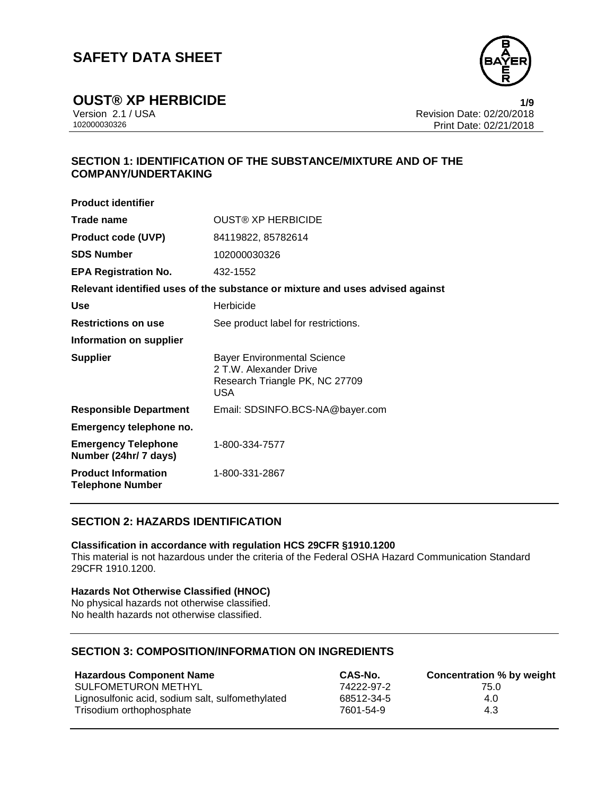

**OUST® XP HERBICIDE**<br>Version 2.1 / USA **1/9**<br>Revision Date: 02/20/2018

Version 2.1 / USA Revision Date: 02/20/2018 Print Date: 02/21/2018

### **SECTION 1: IDENTIFICATION OF THE SUBSTANCE/MIXTURE AND OF THE COMPANY/UNDERTAKING**

| <b>Product identifier</b>                             |                                                                                                              |
|-------------------------------------------------------|--------------------------------------------------------------------------------------------------------------|
| Trade name                                            | <b>OUST® XP HERBICIDE</b>                                                                                    |
| <b>Product code (UVP)</b>                             | 84119822, 85782614                                                                                           |
| <b>SDS Number</b>                                     | 102000030326                                                                                                 |
| <b>EPA Registration No.</b>                           | 432-1552                                                                                                     |
|                                                       | Relevant identified uses of the substance or mixture and uses advised against                                |
| <b>Use</b>                                            | Herbicide                                                                                                    |
| <b>Restrictions on use</b>                            | See product label for restrictions.                                                                          |
| Information on supplier                               |                                                                                                              |
| <b>Supplier</b>                                       | <b>Bayer Environmental Science</b><br>2 T.W. Alexander Drive<br>Research Triangle PK, NC 27709<br><b>USA</b> |
| <b>Responsible Department</b>                         | Email: SDSINFO.BCS-NA@bayer.com                                                                              |
| Emergency telephone no.                               |                                                                                                              |
| <b>Emergency Telephone</b><br>Number (24hr/ 7 days)   | 1-800-334-7577                                                                                               |
| <b>Product Information</b><br><b>Telephone Number</b> | 1-800-331-2867                                                                                               |
|                                                       |                                                                                                              |

### **SECTION 2: HAZARDS IDENTIFICATION**

### **Classification in accordance with regulation HCS 29CFR §1910.1200**

This material is not hazardous under the criteria of the Federal OSHA Hazard Communication Standard 29CFR 1910.1200.

### **Hazards Not Otherwise Classified (HNOC)**

No physical hazards not otherwise classified. No health hazards not otherwise classified.

### **SECTION 3: COMPOSITION/INFORMATION ON INGREDIENTS**

| <b>Hazardous Component Name</b>                  | CAS-No.    | Concentration % by weight |
|--------------------------------------------------|------------|---------------------------|
| <b>SULFOMETURON METHYL</b>                       | 74222-97-2 | 75.0                      |
| Lignosulfonic acid, sodium salt, sulfomethylated | 68512-34-5 | 4.0                       |
| Trisodium orthophosphate                         | 7601-54-9  | 4.3                       |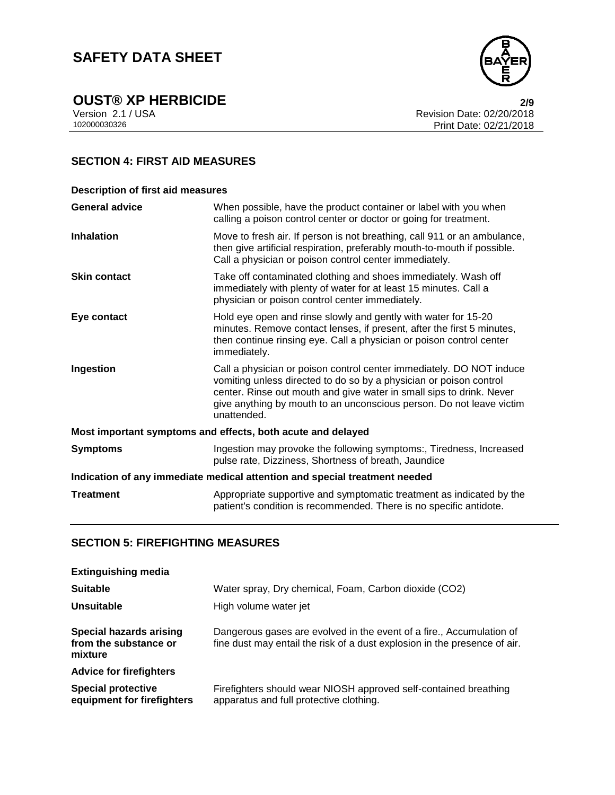

**OUST® XP HERBICIDE**<br>
Version 2.1 / USA **2/9**<br>
Revision Date: 02/20/2018

Version 2.1 / USA Revision Date: 02/20/2018 Print Date: 02/21/2018

### **SECTION 4: FIRST AID MEASURES**

| <b>Description of first aid measures</b>                                   |                                                                                                                                                                                                                                                                                                           |  |
|----------------------------------------------------------------------------|-----------------------------------------------------------------------------------------------------------------------------------------------------------------------------------------------------------------------------------------------------------------------------------------------------------|--|
| <b>General advice</b>                                                      | When possible, have the product container or label with you when<br>calling a poison control center or doctor or going for treatment.                                                                                                                                                                     |  |
| <b>Inhalation</b>                                                          | Move to fresh air. If person is not breathing, call 911 or an ambulance,<br>then give artificial respiration, preferably mouth-to-mouth if possible.<br>Call a physician or poison control center immediately.                                                                                            |  |
| <b>Skin contact</b>                                                        | Take off contaminated clothing and shoes immediately. Wash off<br>immediately with plenty of water for at least 15 minutes. Call a<br>physician or poison control center immediately.                                                                                                                     |  |
| Eye contact                                                                | Hold eye open and rinse slowly and gently with water for 15-20<br>minutes. Remove contact lenses, if present, after the first 5 minutes,<br>then continue rinsing eye. Call a physician or poison control center<br>immediately.                                                                          |  |
| Ingestion                                                                  | Call a physician or poison control center immediately. DO NOT induce<br>vomiting unless directed to do so by a physician or poison control<br>center. Rinse out mouth and give water in small sips to drink. Never<br>give anything by mouth to an unconscious person. Do not leave victim<br>unattended. |  |
| Most important symptoms and effects, both acute and delayed                |                                                                                                                                                                                                                                                                                                           |  |
| <b>Symptoms</b>                                                            | Ingestion may provoke the following symptoms:, Tiredness, Increased<br>pulse rate, Dizziness, Shortness of breath, Jaundice                                                                                                                                                                               |  |
| Indication of any immediate medical attention and special treatment needed |                                                                                                                                                                                                                                                                                                           |  |
| <b>Treatment</b>                                                           | Appropriate supportive and symptomatic treatment as indicated by the<br>patient's condition is recommended. There is no specific antidote.                                                                                                                                                                |  |

### **SECTION 5: FIREFIGHTING MEASURES**

| <b>Extinguishing media</b>                                         |                                                                                                                                                   |
|--------------------------------------------------------------------|---------------------------------------------------------------------------------------------------------------------------------------------------|
| <b>Suitable</b>                                                    | Water spray, Dry chemical, Foam, Carbon dioxide (CO2)                                                                                             |
| Unsuitable                                                         | High volume water jet                                                                                                                             |
| <b>Special hazards arising</b><br>from the substance or<br>mixture | Dangerous gases are evolved in the event of a fire., Accumulation of<br>fine dust may entail the risk of a dust explosion in the presence of air. |
| <b>Advice for firefighters</b>                                     |                                                                                                                                                   |
| <b>Special protective</b><br>equipment for firefighters            | Firefighters should wear NIOSH approved self-contained breathing<br>apparatus and full protective clothing.                                       |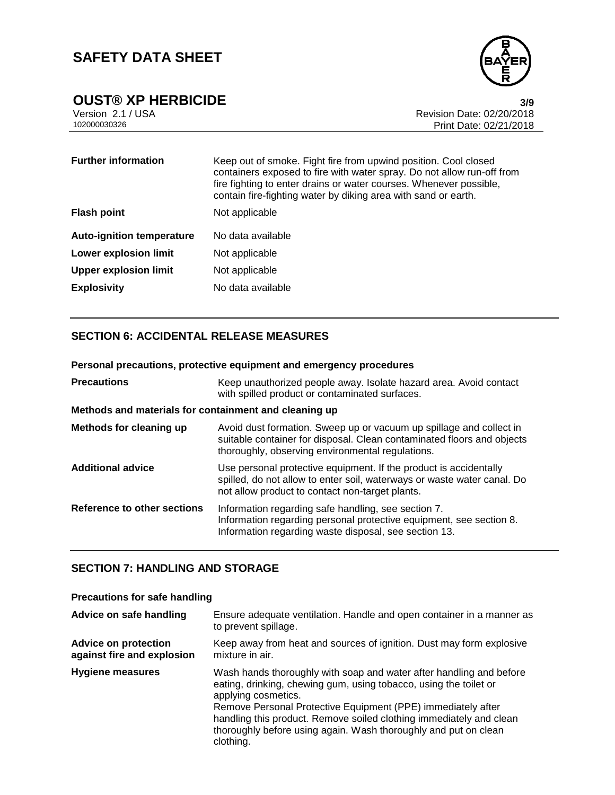

**OUST® XP HERBICIDE**<br>Version 2.1 / USA **3/9**<br>Revision Date: 02/20/2018

Version 2.1 / USA Revision Date: 02/20/2018 Print Date: 02/21/2018

| <b>Further information</b>       | Keep out of smoke. Fight fire from upwind position. Cool closed<br>containers exposed to fire with water spray. Do not allow run-off from<br>fire fighting to enter drains or water courses. Whenever possible,<br>contain fire-fighting water by diking area with sand or earth. |
|----------------------------------|-----------------------------------------------------------------------------------------------------------------------------------------------------------------------------------------------------------------------------------------------------------------------------------|
| <b>Flash point</b>               | Not applicable                                                                                                                                                                                                                                                                    |
| <b>Auto-ignition temperature</b> | No data available                                                                                                                                                                                                                                                                 |
| <b>Lower explosion limit</b>     | Not applicable                                                                                                                                                                                                                                                                    |
| <b>Upper explosion limit</b>     | Not applicable                                                                                                                                                                                                                                                                    |
| <b>Explosivity</b>               | No data available                                                                                                                                                                                                                                                                 |

### **SECTION 6: ACCIDENTAL RELEASE MEASURES**

| Personal precautions, protective equipment and emergency procedures |                                                                                                                                                                                                   |  |
|---------------------------------------------------------------------|---------------------------------------------------------------------------------------------------------------------------------------------------------------------------------------------------|--|
| <b>Precautions</b>                                                  | Keep unauthorized people away. Isolate hazard area. Avoid contact<br>with spilled product or contaminated surfaces.                                                                               |  |
| Methods and materials for containment and cleaning up               |                                                                                                                                                                                                   |  |
| Methods for cleaning up                                             | Avoid dust formation. Sweep up or vacuum up spillage and collect in<br>suitable container for disposal. Clean contaminated floors and objects<br>thoroughly, observing environmental regulations. |  |
| <b>Additional advice</b>                                            | Use personal protective equipment. If the product is accidentally<br>spilled, do not allow to enter soil, waterways or waste water canal. Do<br>not allow product to contact non-target plants.   |  |
| Reference to other sections                                         | Information regarding safe handling, see section 7.<br>Information regarding personal protective equipment, see section 8.<br>Information regarding waste disposal, see section 13.               |  |

### **SECTION 7: HANDLING AND STORAGE**

### **Precautions for safe handling**

| Advice on safe handling                                   | Ensure adequate ventilation. Handle and open container in a manner as<br>to prevent spillage.                                                                                                                                                                                                                                                                                          |
|-----------------------------------------------------------|----------------------------------------------------------------------------------------------------------------------------------------------------------------------------------------------------------------------------------------------------------------------------------------------------------------------------------------------------------------------------------------|
| <b>Advice on protection</b><br>against fire and explosion | Keep away from heat and sources of ignition. Dust may form explosive<br>mixture in air.                                                                                                                                                                                                                                                                                                |
| <b>Hygiene measures</b>                                   | Wash hands thoroughly with soap and water after handling and before<br>eating, drinking, chewing gum, using tobacco, using the toilet or<br>applying cosmetics.<br>Remove Personal Protective Equipment (PPE) immediately after<br>handling this product. Remove soiled clothing immediately and clean<br>thoroughly before using again. Wash thoroughly and put on clean<br>clothing. |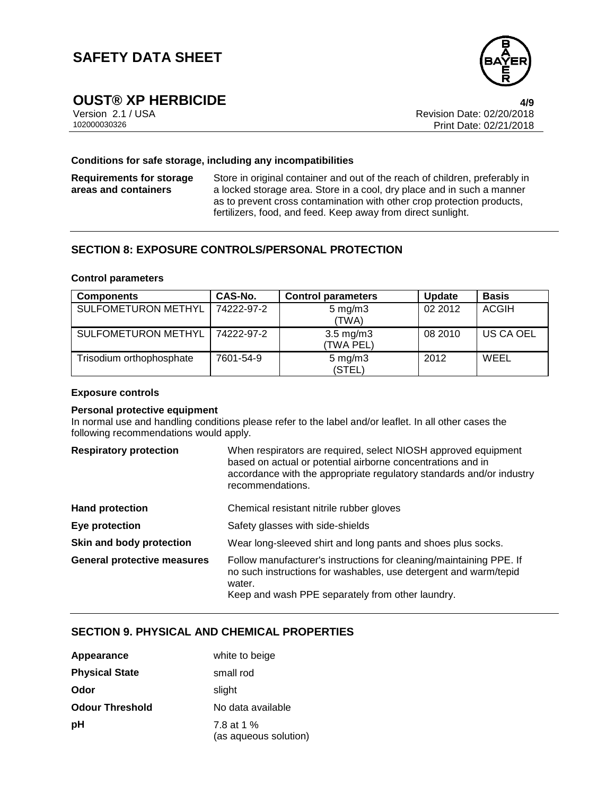

# **OUST® XP HERBICIDE 4/9**

Version 2.1 / USA Revision Date: 02/20/2018 Print Date: 02/21/2018

#### **Conditions for safe storage, including any incompatibilities**

**Requirements for storage areas and containers**

Store in original container and out of the reach of children, preferably in a locked storage area. Store in a cool, dry place and in such a manner as to prevent cross contamination with other crop protection products, fertilizers, food, and feed. Keep away from direct sunlight.

### **SECTION 8: EXPOSURE CONTROLS/PERSONAL PROTECTION**

#### **Control parameters**

| <b>Components</b>          | CAS-No.    | <b>Control parameters</b>       | <b>Update</b> | <b>Basis</b>     |
|----------------------------|------------|---------------------------------|---------------|------------------|
| SULFOMETURON METHYL        | 74222-97-2 | $5 \text{ mg/m}$ 3<br>(TWA)     | 02 2012       | <b>ACGIH</b>     |
| <b>SULFOMETURON METHYL</b> | 74222-97-2 | $3.5 \text{ mg/m}$<br>(TWA PEL) | 08 2010       | <b>US CA OEL</b> |
| Trisodium orthophosphate   | 7601-54-9  | $5 \text{ mg/m}$ 3<br>(STEL)    | 2012          | WEEL             |

#### **Exposure controls**

#### **Personal protective equipment**

In normal use and handling conditions please refer to the label and/or leaflet. In all other cases the following recommendations would apply.

| <b>Respiratory protection</b>      | When respirators are required, select NIOSH approved equipment<br>based on actual or potential airborne concentrations and in<br>accordance with the appropriate regulatory standards and/or industry<br>recommendations. |
|------------------------------------|---------------------------------------------------------------------------------------------------------------------------------------------------------------------------------------------------------------------------|
| <b>Hand protection</b>             | Chemical resistant nitrile rubber gloves                                                                                                                                                                                  |
| Eye protection                     | Safety glasses with side-shields                                                                                                                                                                                          |
| Skin and body protection           | Wear long-sleeved shirt and long pants and shoes plus socks.                                                                                                                                                              |
| <b>General protective measures</b> | Follow manufacturer's instructions for cleaning/maintaining PPE. If<br>no such instructions for washables, use detergent and warm/tepid<br>water.<br>Keep and wash PPE separately from other laundry.                     |

### **SECTION 9. PHYSICAL AND CHEMICAL PROPERTIES**

| Appearance             | white to beige                      |
|------------------------|-------------------------------------|
| <b>Physical State</b>  | small rod                           |
| Odor                   | slight                              |
| <b>Odour Threshold</b> | No data available                   |
| рH                     | 7.8 at 1 %<br>(as aqueous solution) |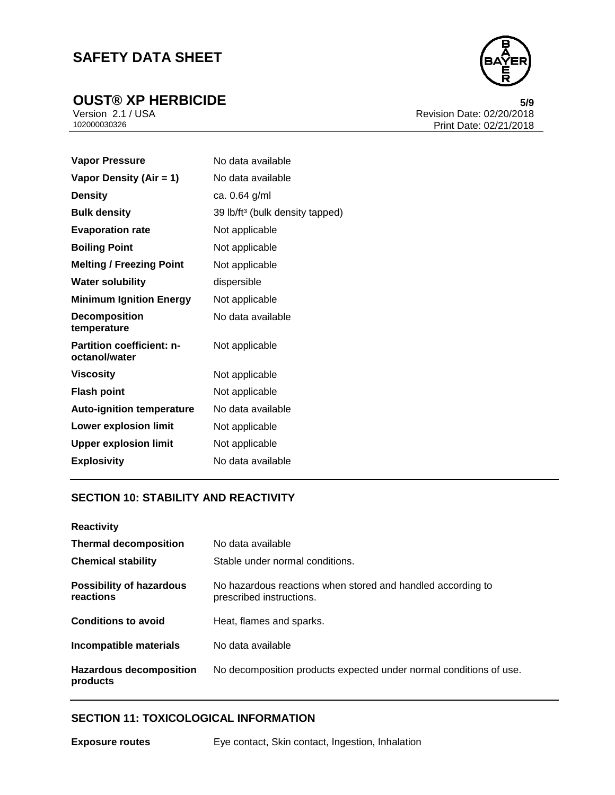

**OUST® XP HERBICIDE**<br>
Version 2.1 / USA **5/9**<br>
Revision Date: 02/20/2018 Version 2.1 / USA Revision Date: 02/20/2018 Print Date: 02/21/2018

| <b>Vapor Pressure</b>                      | No data available                           |
|--------------------------------------------|---------------------------------------------|
| Vapor Density (Air = 1)                    | No data available                           |
| <b>Density</b>                             | ca. 0.64 g/ml                               |
| <b>Bulk density</b>                        | 39 lb/ft <sup>3</sup> (bulk density tapped) |
| <b>Evaporation rate</b>                    | Not applicable                              |
| <b>Boiling Point</b>                       | Not applicable                              |
| <b>Melting / Freezing Point</b>            | Not applicable                              |
| <b>Water solubility</b>                    | dispersible                                 |
| <b>Minimum Ignition Energy</b>             | Not applicable                              |
| <b>Decomposition</b><br>temperature        | No data available                           |
| Partition coefficient: n-<br>octanol/water | Not applicable                              |
| <b>Viscosity</b>                           | Not applicable                              |
| <b>Flash point</b>                         | Not applicable                              |
| <b>Auto-ignition temperature</b>           | No data available                           |
| <b>Lower explosion limit</b>               | Not applicable                              |
| <b>Upper explosion limit</b>               | Not applicable                              |
| <b>Explosivity</b>                         | No data available                           |

### **SECTION 10: STABILITY AND REACTIVITY**

| <b>Reactivity</b>                            |                                                                                         |
|----------------------------------------------|-----------------------------------------------------------------------------------------|
| <b>Thermal decomposition</b>                 | No data available                                                                       |
| <b>Chemical stability</b>                    | Stable under normal conditions.                                                         |
| <b>Possibility of hazardous</b><br>reactions | No hazardous reactions when stored and handled according to<br>prescribed instructions. |
| <b>Conditions to avoid</b>                   | Heat, flames and sparks.                                                                |
| Incompatible materials                       | No data available                                                                       |
| <b>Hazardous decomposition</b><br>products   | No decomposition products expected under normal conditions of use.                      |

### **SECTION 11: TOXICOLOGICAL INFORMATION**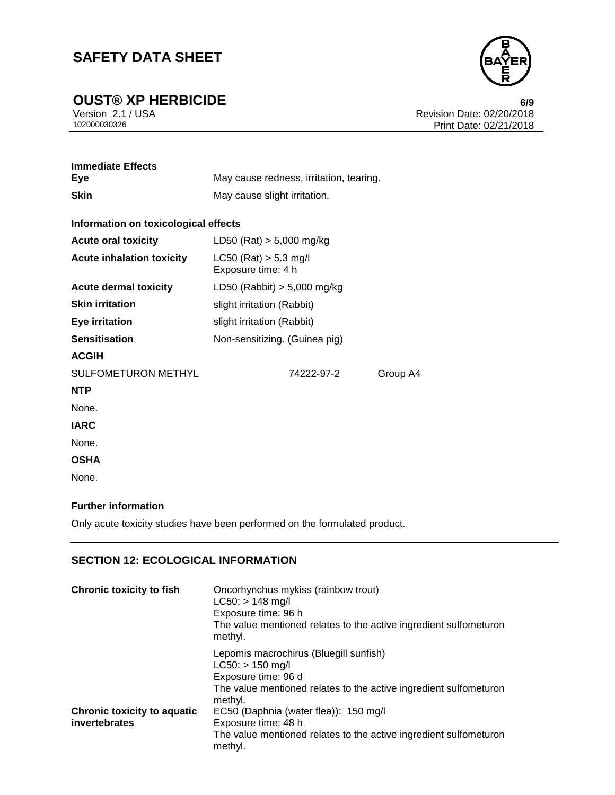**OUST® XP HERBICIDE**<br>
Version 2.1 / USA **6/9**<br>
Revision Date: 02/20/2018



Version 2.1 / USA Revision Date: 02/20/2018 Print Date: 02/21/2018

| <b>Immediate Effects</b><br>Eye      | May cause redness, irritation, tearing.       |  |  |
|--------------------------------------|-----------------------------------------------|--|--|
| <b>Skin</b>                          | May cause slight irritation.                  |  |  |
| Information on toxicological effects |                                               |  |  |
| <b>Acute oral toxicity</b>           | LD50 (Rat) $> 5,000$ mg/kg                    |  |  |
| <b>Acute inhalation toxicity</b>     | $LC50$ (Rat) > 5.3 mg/l<br>Exposure time: 4 h |  |  |
| <b>Acute dermal toxicity</b>         | LD50 (Rabbit) $> 5,000$ mg/kg                 |  |  |
| <b>Skin irritation</b>               | slight irritation (Rabbit)                    |  |  |
| <b>Eye irritation</b>                | slight irritation (Rabbit)                    |  |  |
| <b>Sensitisation</b>                 | Non-sensitizing. (Guinea pig)                 |  |  |
| <b>ACGIH</b>                         |                                               |  |  |
| SULFOMETURON METHYL                  | 74222-97-2<br>Group A4                        |  |  |
| <b>NTP</b>                           |                                               |  |  |
| None.                                |                                               |  |  |
| <b>IARC</b>                          |                                               |  |  |
| None.                                |                                               |  |  |
| <b>OSHA</b>                          |                                               |  |  |
| None.                                |                                               |  |  |

### **Further information**

Only acute toxicity studies have been performed on the formulated product.

### **SECTION 12: ECOLOGICAL INFORMATION**

| <b>Chronic toxicity to fish</b>                     | Oncorhynchus mykiss (rainbow trout)<br>$LC50:$ > 148 mg/l<br>Exposure time: 96 h<br>The value mentioned relates to the active ingredient sulfometuron<br>methyl.    |
|-----------------------------------------------------|---------------------------------------------------------------------------------------------------------------------------------------------------------------------|
|                                                     | Lepomis macrochirus (Bluegill sunfish)<br>$LC50:$ > 150 mg/l<br>Exposure time: 96 d<br>The value mentioned relates to the active ingredient sulfometuron<br>methyl. |
| <b>Chronic toxicity to aquatic</b><br>invertebrates | EC50 (Daphnia (water flea)): 150 mg/l<br>Exposure time: 48 h<br>The value mentioned relates to the active ingredient sulfometuron<br>methyl.                        |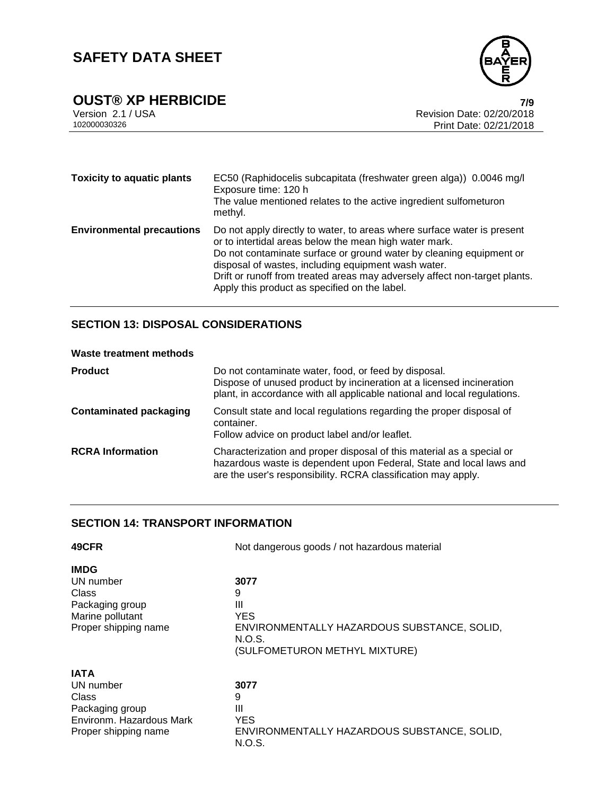

**OUST® XP HERBICIDE**<br>Version 2.1 / USA *T/9*<br>Revision Date: 02/20/2018

Version 2.1 / USA Revision Date: 02/20/2018 Print Date: 02/21/2018

| <b>Toxicity to aquatic plants</b> | EC50 (Raphidocelis subcapitata (freshwater green alga)) 0.0046 mg/l<br>Exposure time: 120 h<br>The value mentioned relates to the active ingredient sulfometuron<br>methyl.                                                                                                                                                                                                                    |
|-----------------------------------|------------------------------------------------------------------------------------------------------------------------------------------------------------------------------------------------------------------------------------------------------------------------------------------------------------------------------------------------------------------------------------------------|
| <b>Environmental precautions</b>  | Do not apply directly to water, to areas where surface water is present<br>or to intertidal areas below the mean high water mark.<br>Do not contaminate surface or ground water by cleaning equipment or<br>disposal of wastes, including equipment wash water.<br>Drift or runoff from treated areas may adversely affect non-target plants.<br>Apply this product as specified on the label. |

### **SECTION 13: DISPOSAL CONSIDERATIONS**

#### **Waste treatment methods**

| <b>Product</b>                | Do not contaminate water, food, or feed by disposal.<br>Dispose of unused product by incineration at a licensed incineration<br>plant, in accordance with all applicable national and local regulations.      |
|-------------------------------|---------------------------------------------------------------------------------------------------------------------------------------------------------------------------------------------------------------|
| <b>Contaminated packaging</b> | Consult state and local regulations regarding the proper disposal of<br>container.<br>Follow advice on product label and/or leaflet.                                                                          |
| <b>RCRA Information</b>       | Characterization and proper disposal of this material as a special or<br>hazardous waste is dependent upon Federal, State and local laws and<br>are the user's responsibility. RCRA classification may apply. |

### **SECTION 14: TRANSPORT INFORMATION**

| 49CFR                    | Not dangerous goods / not hazardous material          |  |
|--------------------------|-------------------------------------------------------|--|
| <b>IMDG</b>              |                                                       |  |
| UN number                | 3077                                                  |  |
| Class                    | 9                                                     |  |
| Packaging group          | Ш                                                     |  |
| Marine pollutant         | <b>YES</b>                                            |  |
| Proper shipping name     | ENVIRONMENTALLY HAZARDOUS SUBSTANCE, SOLID,<br>N.O.S. |  |
|                          | (SULFOMETURON METHYL MIXTURE)                         |  |
| <b>IATA</b>              |                                                       |  |
| UN number                | 3077                                                  |  |
| Class                    | 9                                                     |  |
| Packaging group          | Ш                                                     |  |
| Environm. Hazardous Mark | <b>YES</b>                                            |  |
| Proper shipping name     | ENVIRONMENTALLY HAZARDOUS SUBSTANCE, SOLID,<br>N.O.S. |  |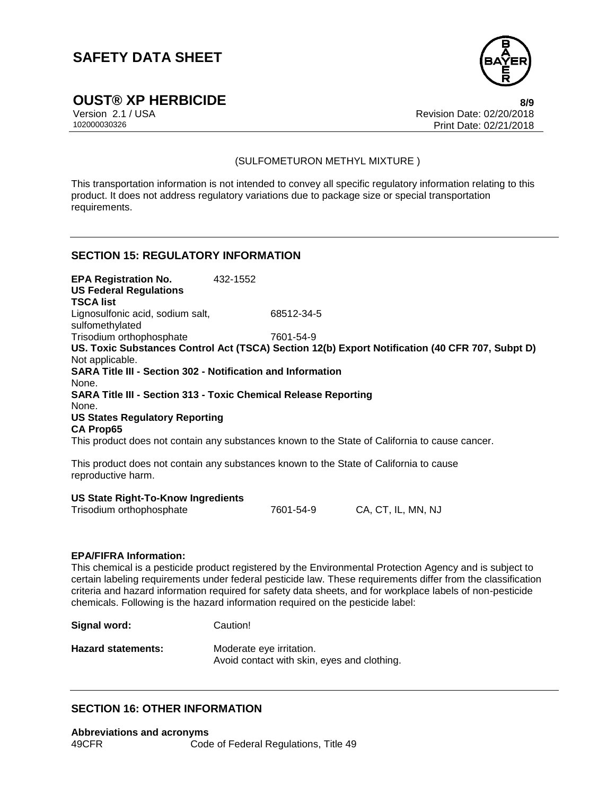

**OUST® XP HERBICIDE 8/9**

Version 2.1 / USA Revision Date: 02/20/2018<br>102000030326 Print Date: 02/20/2018 Print Date: 02/21/2018

### (SULFOMETURON METHYL MIXTURE )

This transportation information is not intended to convey all specific regulatory information relating to this product. It does not address regulatory variations due to package size or special transportation requirements.

### **SECTION 15: REGULATORY INFORMATION**

**EPA Registration No.** 432-1552 **US Federal Regulations TSCA list** Lignosulfonic acid, sodium salt, sulfomethylated 68512-34-5 Trisodium orthophosphate 7601-54-9 **US. Toxic Substances Control Act (TSCA) Section 12(b) Export Notification (40 CFR 707, Subpt D)** Not applicable. **SARA Title III - Section 302 - Notification and Information** None. **SARA Title III - Section 313 - Toxic Chemical Release Reporting** None. **US States Regulatory Reporting CA Prop65** This product does not contain any substances known to the State of California to cause cancer.

This product does not contain any substances known to the State of California to cause reproductive harm.

### **US State Right-To-Know Ingredients**

| Trisodium orthophosphate | 7601-54-9 | CA, CT, IL, MN, NJ |
|--------------------------|-----------|--------------------|

#### **EPA/FIFRA Information:**

This chemical is a pesticide product registered by the Environmental Protection Agency and is subject to certain labeling requirements under federal pesticide law. These requirements differ from the classification criteria and hazard information required for safety data sheets, and for workplace labels of non-pesticide chemicals. Following is the hazard information required on the pesticide label:

| Signal word:              | Caution!                                                                |
|---------------------------|-------------------------------------------------------------------------|
| <b>Hazard statements:</b> | Moderate eye irritation.<br>Avoid contact with skin, eyes and clothing. |

### **SECTION 16: OTHER INFORMATION**